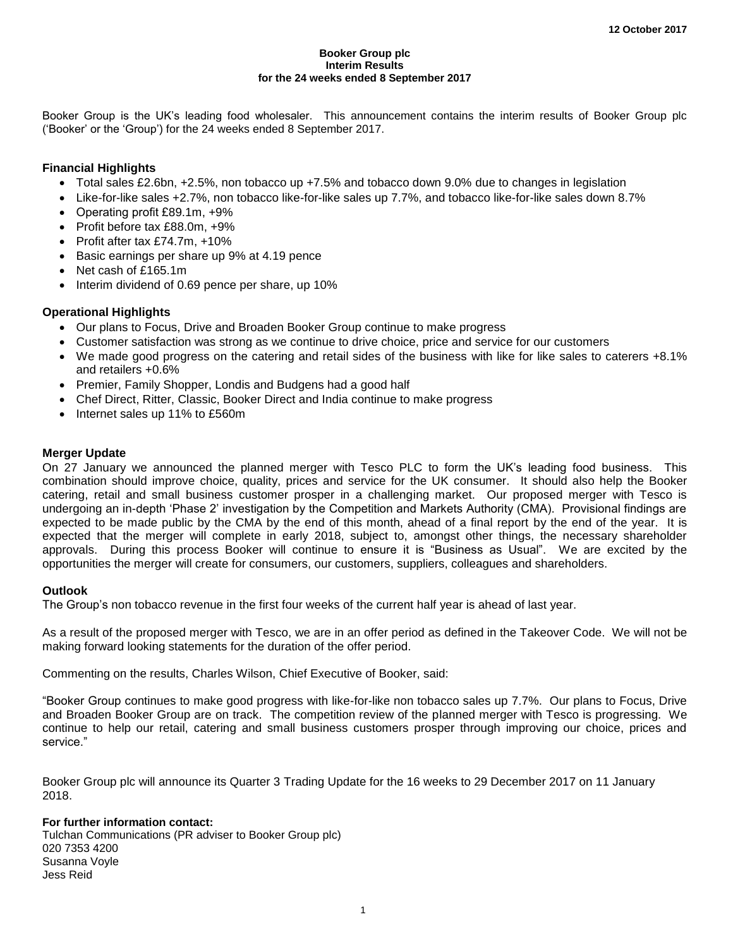#### **Booker Group plc Interim Results for the 24 weeks ended 8 September 2017**

Booker Group is the UK's leading food wholesaler. This announcement contains the interim results of Booker Group plc ('Booker' or the 'Group') for the 24 weeks ended 8 September 2017.

## **Financial Highlights**

- Total sales £2.6bn, +2.5%, non tobacco up +7.5% and tobacco down 9.0% due to changes in legislation
- Like-for-like sales +2.7%, non tobacco like-for-like sales up 7.7%, and tobacco like-for-like sales down 8.7%
- Operating profit £89.1m, +9%
- Profit before tax £88.0m, +9%
- Profit after tax £74.7m, +10%
- Basic earnings per share up 9% at 4.19 pence
- Net cash of £165.1m
- Interim dividend of 0.69 pence per share, up 10%

## **Operational Highlights**

- Our plans to Focus, Drive and Broaden Booker Group continue to make progress
- Customer satisfaction was strong as we continue to drive choice, price and service for our customers
- We made good progress on the catering and retail sides of the business with like for like sales to caterers +8.1% and retailers +0.6%
- Premier, Family Shopper, Londis and Budgens had a good half
- Chef Direct, Ritter, Classic, Booker Direct and India continue to make progress
- Internet sales up 11% to £560m

## **Merger Update**

On 27 January we announced the planned merger with Tesco PLC to form the UK's leading food business. This combination should improve choice, quality, prices and service for the UK consumer. It should also help the Booker catering, retail and small business customer prosper in a challenging market. Our proposed merger with Tesco is undergoing an in-depth 'Phase 2' investigation by the Competition and Markets Authority (CMA). Provisional findings are expected to be made public by the CMA by the end of this month, ahead of a final report by the end of the year. It is expected that the merger will complete in early 2018, subject to, amongst other things, the necessary shareholder approvals. During this process Booker will continue to ensure it is "Business as Usual". We are excited by the opportunities the merger will create for consumers, our customers, suppliers, colleagues and shareholders.

## **Outlook**

The Group's non tobacco revenue in the first four weeks of the current half year is ahead of last year.

As a result of the proposed merger with Tesco, we are in an offer period as defined in the Takeover Code. We will not be making forward looking statements for the duration of the offer period.

Commenting on the results, Charles Wilson, Chief Executive of Booker, said:

"Booker Group continues to make good progress with like-for-like non tobacco sales up 7.7%. Our plans to Focus, Drive and Broaden Booker Group are on track. The competition review of the planned merger with Tesco is progressing. We continue to help our retail, catering and small business customers prosper through improving our choice, prices and service."

Booker Group plc will announce its Quarter 3 Trading Update for the 16 weeks to 29 December 2017 on 11 January 2018.

## **For further information contact:**

Tulchan Communications (PR adviser to Booker Group plc) 020 7353 4200 Susanna Voyle Jess Reid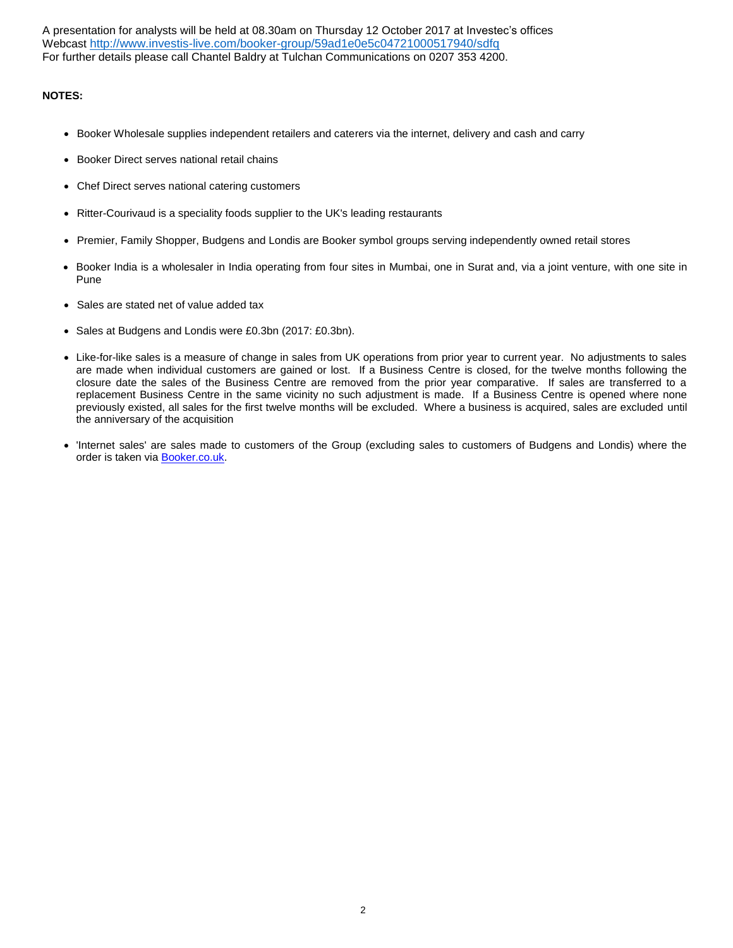A presentation for analysts will be held at 08.30am on Thursday 12 October 2017 at Investec's offices Webcast <http://www.investis-live.com/booker-group/59ad1e0e5c04721000517940/sdfq> For further details please call Chantel Baldry at Tulchan Communications on 0207 353 4200.

## **NOTES:**

- Booker Wholesale supplies independent retailers and caterers via the internet, delivery and cash and carry
- Booker Direct serves national retail chains
- Chef Direct serves national catering customers
- Ritter-Courivaud is a speciality foods supplier to the UK's leading restaurants
- Premier, Family Shopper, Budgens and Londis are Booker symbol groups serving independently owned retail stores
- Booker India is a wholesaler in India operating from four sites in Mumbai, one in Surat and, via a joint venture, with one site in Pune
- Sales are stated net of value added tax
- Sales at Budgens and Londis were £0.3bn (2017: £0.3bn).
- Like-for-like sales is a measure of change in sales from UK operations from prior year to current year. No adjustments to sales are made when individual customers are gained or lost. If a Business Centre is closed, for the twelve months following the closure date the sales of the Business Centre are removed from the prior year comparative. If sales are transferred to a replacement Business Centre in the same vicinity no such adjustment is made. If a Business Centre is opened where none previously existed, all sales for the first twelve months will be excluded. Where a business is acquired, sales are excluded until the anniversary of the acquisition
- 'Internet sales' are sales made to customers of the Group (excluding sales to customers of Budgens and Londis) where the order is taken via [Booker.co.uk.](http://booker.co.uk/)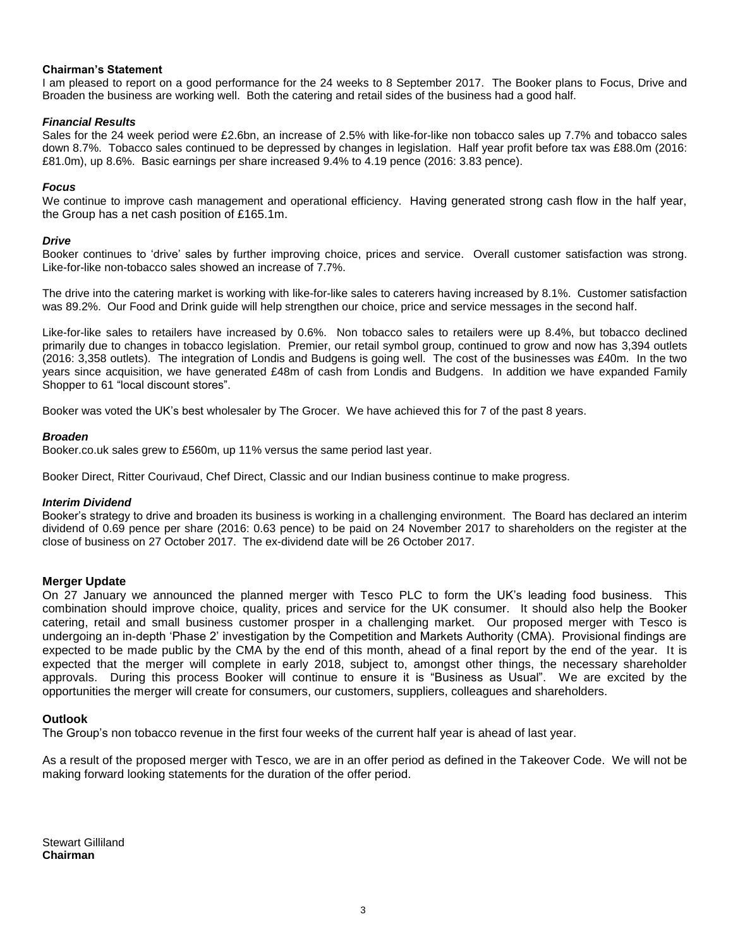## **Chairman's Statement**

I am pleased to report on a good performance for the 24 weeks to 8 September 2017. The Booker plans to Focus, Drive and Broaden the business are working well. Both the catering and retail sides of the business had a good half.

## *Financial Results*

Sales for the 24 week period were £2.6bn, an increase of 2.5% with like-for-like non tobacco sales up 7.7% and tobacco sales down 8.7%. Tobacco sales continued to be depressed by changes in legislation. Half year profit before tax was £88.0m (2016: £81.0m), up 8.6%. Basic earnings per share increased 9.4% to 4.19 pence (2016: 3.83 pence).

## *Focus*

We continue to improve cash management and operational efficiency. Having generated strong cash flow in the half year, the Group has a net cash position of £165.1m.

### *Drive*

Booker continues to 'drive' sales by further improving choice, prices and service. Overall customer satisfaction was strong. Like-for-like non-tobacco sales showed an increase of 7.7%.

The drive into the catering market is working with like-for-like sales to caterers having increased by 8.1%. Customer satisfaction was 89.2%. Our Food and Drink guide will help strengthen our choice, price and service messages in the second half.

Like-for-like sales to retailers have increased by 0.6%. Non tobacco sales to retailers were up 8.4%, but tobacco declined primarily due to changes in tobacco legislation. Premier, our retail symbol group, continued to grow and now has 3,394 outlets (2016: 3,358 outlets). The integration of Londis and Budgens is going well. The cost of the businesses was £40m. In the two years since acquisition, we have generated £48m of cash from Londis and Budgens. In addition we have expanded Family Shopper to 61 "local discount stores".

Booker was voted the UK's best wholesaler by The Grocer. We have achieved this for 7 of the past 8 years.

### *Broaden*

Booker.co.uk sales grew to £560m, up 11% versus the same period last year.

Booker Direct, Ritter Courivaud, Chef Direct, Classic and our Indian business continue to make progress.

### *Interim Dividend*

Booker's strategy to drive and broaden its business is working in a challenging environment. The Board has declared an interim dividend of 0.69 pence per share (2016: 0.63 pence) to be paid on 24 November 2017 to shareholders on the register at the close of business on 27 October 2017. The ex-dividend date will be 26 October 2017.

### **Merger Update**

On 27 January we announced the planned merger with Tesco PLC to form the UK's leading food business. This combination should improve choice, quality, prices and service for the UK consumer. It should also help the Booker catering, retail and small business customer prosper in a challenging market. Our proposed merger with Tesco is undergoing an in-depth 'Phase 2' investigation by the Competition and Markets Authority (CMA). Provisional findings are expected to be made public by the CMA by the end of this month, ahead of a final report by the end of the year. It is expected that the merger will complete in early 2018, subject to, amongst other things, the necessary shareholder approvals. During this process Booker will continue to ensure it is "Business as Usual". We are excited by the opportunities the merger will create for consumers, our customers, suppliers, colleagues and shareholders.

### **Outlook**

The Group's non tobacco revenue in the first four weeks of the current half year is ahead of last year.

As a result of the proposed merger with Tesco, we are in an offer period as defined in the Takeover Code. We will not be making forward looking statements for the duration of the offer period.

Stewart Gilliland **Chairman**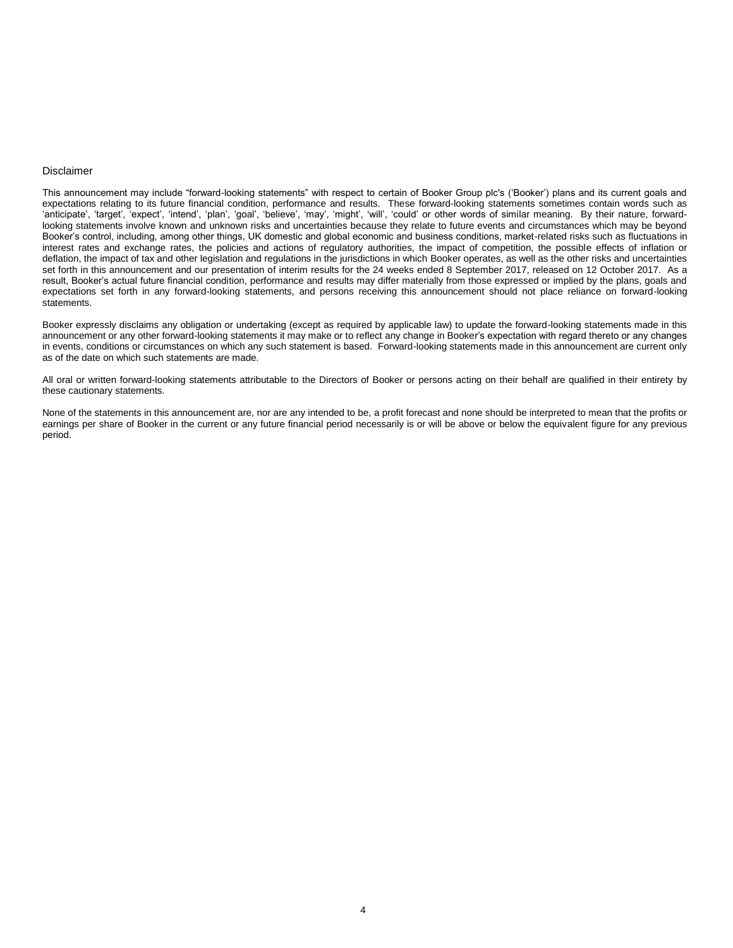#### Disclaimer

This announcement may include "forward-looking statements" with respect to certain of Booker Group plc's ('Booker') plans and its current goals and expectations relating to its future financial condition, performance and results. These forward-looking statements sometimes contain words such as 'anticipate', 'target', 'expect', 'intend', 'plan', 'goal', 'believe', 'may', 'might', 'will', 'could' or other words of similar meaning. By their nature, forwardlooking statements involve known and unknown risks and uncertainties because they relate to future events and circumstances which may be beyond Booker's control, including, among other things, UK domestic and global economic and business conditions, market-related risks such as fluctuations in interest rates and exchange rates, the policies and actions of regulatory authorities, the impact of competition, the possible effects of inflation or deflation, the impact of tax and other legislation and regulations in the jurisdictions in which Booker operates, as well as the other risks and uncertainties set forth in this announcement and our presentation of interim results for the 24 weeks ended 8 September 2017, released on 12 October 2017. As a result, Booker's actual future financial condition, performance and results may differ materially from those expressed or implied by the plans, goals and expectations set forth in any forward-looking statements, and persons receiving this announcement should not place reliance on forward-looking statements.

Booker expressly disclaims any obligation or undertaking (except as required by applicable law) to update the forward-looking statements made in this announcement or any other forward-looking statements it may make or to reflect any change in Booker's expectation with regard thereto or any changes in events, conditions or circumstances on which any such statement is based. Forward-looking statements made in this announcement are current only as of the date on which such statements are made.

All oral or written forward-looking statements attributable to the Directors of Booker or persons acting on their behalf are qualified in their entirety by these cautionary statements.

None of the statements in this announcement are, nor are any intended to be, a profit forecast and none should be interpreted to mean that the profits or earnings per share of Booker in the current or any future financial period necessarily is or will be above or below the equivalent figure for any previous period.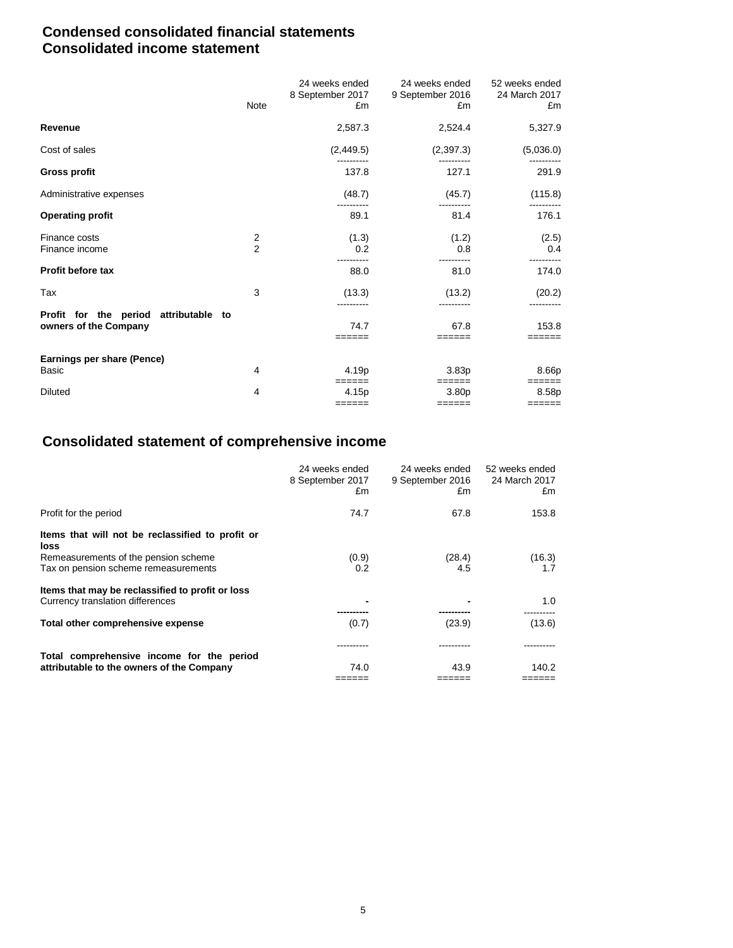## **Condensed consolidated financial statements Consolidated income statement**

|                                                                | Note                | 24 weeks ended<br>8 September 2017<br>£m | 24 weeks ended<br>9 September 2016<br>£m | 52 weeks ended<br>24 March 2017<br>£m |
|----------------------------------------------------------------|---------------------|------------------------------------------|------------------------------------------|---------------------------------------|
| <b>Revenue</b>                                                 |                     | 2,587.3                                  | 2,524.4                                  | 5,327.9                               |
| Cost of sales                                                  |                     | (2, 449.5)                               | (2,397.3)                                | (5,036.0)                             |
| <b>Gross profit</b>                                            |                     | 137.8                                    | 127.1                                    | 291.9                                 |
| Administrative expenses                                        |                     | (48.7)                                   | (45.7)                                   | (115.8)                               |
| <b>Operating profit</b>                                        |                     | 89.1                                     | 81.4                                     | 176.1                                 |
| Finance costs<br>Finance income                                | 2<br>$\overline{2}$ | (1.3)<br>0.2                             | (1.2)<br>0.8                             | (2.5)<br>0.4                          |
| Profit before tax                                              |                     | 88.0                                     | 81.0                                     | 174.0                                 |
| Tax                                                            | 3                   | (13.3)                                   | (13.2)                                   | (20.2)                                |
| Profit for the period attributable to<br>owners of the Company |                     | 74.7<br>======                           | 67.8<br>======                           | 153.8<br>======                       |
| Earnings per share (Pence)                                     |                     |                                          |                                          |                                       |
| Basic                                                          | 4                   | 4.19p<br>$======$                        | 3.83 <sub>p</sub><br>$======$            | 8.66p<br>======                       |
| <b>Diluted</b>                                                 | 4                   | 4.15p                                    | 3.80 <sub>p</sub>                        | 8.58p                                 |
|                                                                |                     |                                          |                                          | $=$ $=$ $=$ $=$ $=$ $=$ $=$           |

## **Consolidated statement of comprehensive income**

|                                                          | 24 weeks ended<br>8 September 2017<br>£m | 24 weeks ended<br>9 September 2016<br>£m | 52 weeks ended<br>24 March 2017<br>£m |
|----------------------------------------------------------|------------------------------------------|------------------------------------------|---------------------------------------|
| Profit for the period                                    | 74.7                                     | 67.8                                     | 153.8                                 |
| Items that will not be reclassified to profit or<br>loss |                                          |                                          |                                       |
| Remeasurements of the pension scheme                     | (0.9)                                    | (28.4)                                   | (16.3)                                |
| Tax on pension scheme remeasurements                     | 0.2                                      | 4.5                                      | 1.7                                   |
| Items that may be reclassified to profit or loss         |                                          |                                          |                                       |
| Currency translation differences                         |                                          |                                          | 1.0                                   |
|                                                          |                                          |                                          |                                       |
| Total other comprehensive expense                        | (0.7)                                    | (23.9)                                   | (13.6)                                |
|                                                          |                                          |                                          |                                       |
| Total comprehensive income for the period                |                                          |                                          |                                       |
| attributable to the owners of the Company                | 74.0                                     | 43.9                                     | 140.2                                 |
|                                                          |                                          |                                          |                                       |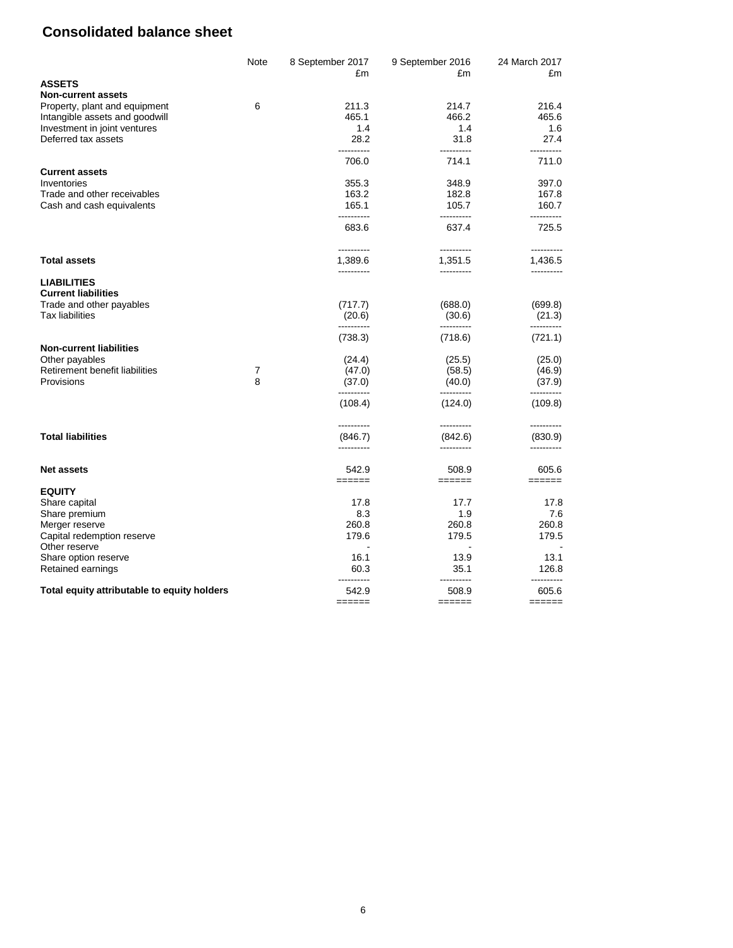## **Consolidated balance sheet**

| Note | 8 September 2017 | 9 September 2016                                                                                                                                                                                                                                                                                                                   | 24 March 2017<br>£m                                                                                                                                                                                                                                                                                     |
|------|------------------|------------------------------------------------------------------------------------------------------------------------------------------------------------------------------------------------------------------------------------------------------------------------------------------------------------------------------------|---------------------------------------------------------------------------------------------------------------------------------------------------------------------------------------------------------------------------------------------------------------------------------------------------------|
|      |                  |                                                                                                                                                                                                                                                                                                                                    |                                                                                                                                                                                                                                                                                                         |
|      |                  |                                                                                                                                                                                                                                                                                                                                    |                                                                                                                                                                                                                                                                                                         |
|      |                  |                                                                                                                                                                                                                                                                                                                                    | 216.4                                                                                                                                                                                                                                                                                                   |
|      |                  |                                                                                                                                                                                                                                                                                                                                    | 465.6                                                                                                                                                                                                                                                                                                   |
|      |                  |                                                                                                                                                                                                                                                                                                                                    | 1.6                                                                                                                                                                                                                                                                                                     |
|      | .                | ----------                                                                                                                                                                                                                                                                                                                         | 27.4<br>----------                                                                                                                                                                                                                                                                                      |
|      | 706.0            | 714.1                                                                                                                                                                                                                                                                                                                              | 711.0                                                                                                                                                                                                                                                                                                   |
|      |                  |                                                                                                                                                                                                                                                                                                                                    |                                                                                                                                                                                                                                                                                                         |
|      |                  |                                                                                                                                                                                                                                                                                                                                    | 397.0                                                                                                                                                                                                                                                                                                   |
|      |                  |                                                                                                                                                                                                                                                                                                                                    | 167.8                                                                                                                                                                                                                                                                                                   |
|      |                  |                                                                                                                                                                                                                                                                                                                                    | 160.7<br>----------                                                                                                                                                                                                                                                                                     |
|      | 683.6            | 637.4                                                                                                                                                                                                                                                                                                                              | 725.5                                                                                                                                                                                                                                                                                                   |
|      | ----------       | ----------                                                                                                                                                                                                                                                                                                                         | ----------                                                                                                                                                                                                                                                                                              |
|      | 1,389.6          | 1,351.5                                                                                                                                                                                                                                                                                                                            | 1,436.5<br>----------                                                                                                                                                                                                                                                                                   |
|      |                  |                                                                                                                                                                                                                                                                                                                                    |                                                                                                                                                                                                                                                                                                         |
|      | (717.7)          | (688.0)                                                                                                                                                                                                                                                                                                                            | (699.8)                                                                                                                                                                                                                                                                                                 |
|      | (20.6)           | (30.6)                                                                                                                                                                                                                                                                                                                             | (21.3)                                                                                                                                                                                                                                                                                                  |
|      | (738.3)          | (718.6)                                                                                                                                                                                                                                                                                                                            | (721.1)                                                                                                                                                                                                                                                                                                 |
|      |                  |                                                                                                                                                                                                                                                                                                                                    | (25.0)                                                                                                                                                                                                                                                                                                  |
|      |                  |                                                                                                                                                                                                                                                                                                                                    | (46.9)                                                                                                                                                                                                                                                                                                  |
|      |                  |                                                                                                                                                                                                                                                                                                                                    | (37.9)                                                                                                                                                                                                                                                                                                  |
|      | ----------       | ----------                                                                                                                                                                                                                                                                                                                         | --------                                                                                                                                                                                                                                                                                                |
|      | (108.4)          | (124.0)                                                                                                                                                                                                                                                                                                                            | (109.8)                                                                                                                                                                                                                                                                                                 |
|      | ----------       | ----------                                                                                                                                                                                                                                                                                                                         | ----------                                                                                                                                                                                                                                                                                              |
|      | ----------       | ----------                                                                                                                                                                                                                                                                                                                         | (830.9)<br>----------                                                                                                                                                                                                                                                                                   |
|      | 542.9            | 508.9                                                                                                                                                                                                                                                                                                                              | 605.6                                                                                                                                                                                                                                                                                                   |
|      |                  |                                                                                                                                                                                                                                                                                                                                    | ======                                                                                                                                                                                                                                                                                                  |
|      |                  |                                                                                                                                                                                                                                                                                                                                    | 17.8                                                                                                                                                                                                                                                                                                    |
|      |                  |                                                                                                                                                                                                                                                                                                                                    | 7.6                                                                                                                                                                                                                                                                                                     |
|      |                  |                                                                                                                                                                                                                                                                                                                                    | 260.8                                                                                                                                                                                                                                                                                                   |
|      |                  |                                                                                                                                                                                                                                                                                                                                    | 179.5                                                                                                                                                                                                                                                                                                   |
|      |                  |                                                                                                                                                                                                                                                                                                                                    |                                                                                                                                                                                                                                                                                                         |
|      |                  |                                                                                                                                                                                                                                                                                                                                    | 13.1                                                                                                                                                                                                                                                                                                    |
|      | 60.3             | 35.1                                                                                                                                                                                                                                                                                                                               | 126.8                                                                                                                                                                                                                                                                                                   |
|      | 542.9            | 508.9                                                                                                                                                                                                                                                                                                                              | ----------<br>605.6<br>$=$ $=$ $=$ $=$ $=$ $=$ $=$                                                                                                                                                                                                                                                      |
|      | 6<br>7<br>8      | £m<br>211.3<br>465.1<br>1.4<br>28.2<br>355.3<br>163.2<br>165.1<br>----------<br>----------<br>(24.4)<br>(47.0)<br>(37.0)<br>(846.7)<br>$\qquad \qquad \equiv \equiv \equiv \equiv \equiv \equiv \equiv$<br>17.8<br>8.3<br>260.8<br>179.6<br>16.1<br>----------<br>$\qquad \qquad \equiv \equiv \equiv \equiv \equiv \equiv \equiv$ | £m<br>214.7<br>466.2<br>1.4<br>31.8<br>348.9<br>182.8<br>105.7<br>----------<br>----------<br>----------<br>(25.5)<br>(58.5)<br>(40.0)<br>(842.6)<br>$=$ $=$ $=$ $=$ $=$ $=$<br>17.7<br>1.9<br>260.8<br>179.5<br>13.9<br>----------<br>$\qquad \qquad \equiv \equiv \equiv \equiv \equiv \equiv \equiv$ |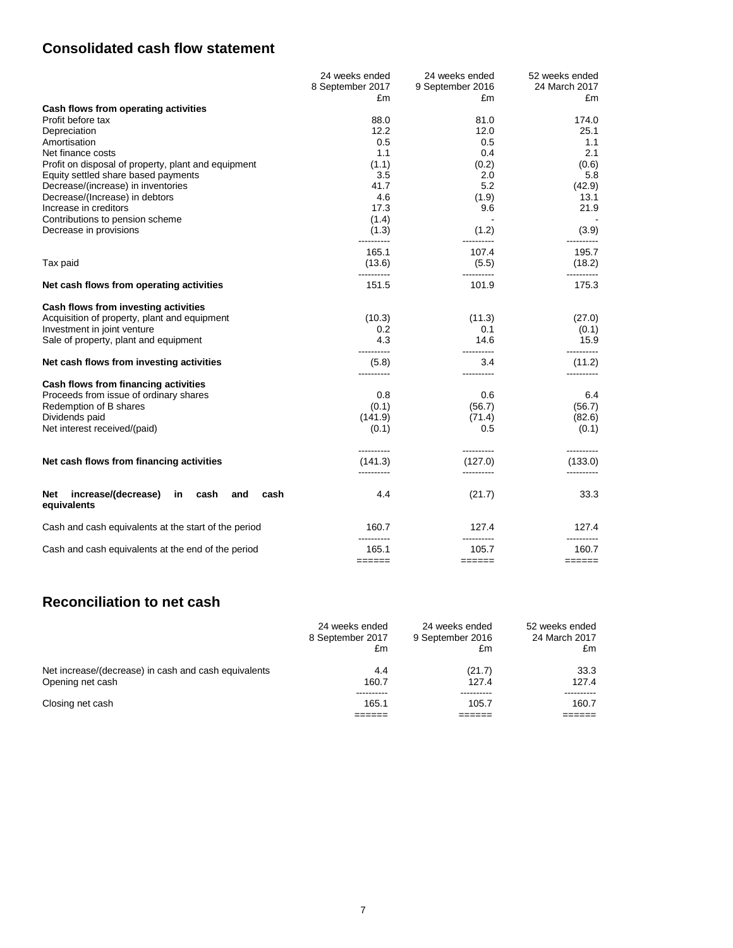## **Consolidated cash flow statement**

|                                                                        | 24 weeks ended      | 24 weeks ended                   | 52 weeks ended                     |
|------------------------------------------------------------------------|---------------------|----------------------------------|------------------------------------|
|                                                                        | 8 September 2017    | 9 September 2016                 | 24 March 2017                      |
|                                                                        | £m                  | £m                               | £m                                 |
| Cash flows from operating activities                                   |                     |                                  |                                    |
| Profit before tax                                                      | 88.0                | 81.0                             | 174.0                              |
| Depreciation                                                           | 12.2                | 12.0                             | 25.1                               |
| Amortisation                                                           | 0.5                 | 0.5                              | 1.1                                |
| Net finance costs                                                      | 1.1                 | 0.4                              | 2.1                                |
| Profit on disposal of property, plant and equipment                    | (1.1)               | (0.2)                            | (0.6)                              |
| Equity settled share based payments                                    | 3.5                 | 2.0                              | 5.8                                |
| Decrease/(increase) in inventories                                     | 41.7                | 5.2                              | (42.9)                             |
| Decrease/(Increase) in debtors                                         | 4.6                 | (1.9)                            | 13.1                               |
| Increase in creditors                                                  | 17.3                | 9.6                              | 21.9                               |
| Contributions to pension scheme                                        | (1.4)               |                                  |                                    |
| Decrease in provisions                                                 | (1.3)<br>---------- | (1.2)<br>----------              | (3.9)                              |
|                                                                        | 165.1               | 107.4                            | 195.7                              |
| Tax paid                                                               | (13.6)              | (5.5)                            | (18.2)                             |
| Net cash flows from operating activities                               | 151.5               | 101.9                            | 175.3                              |
| Cash flows from investing activities                                   |                     |                                  |                                    |
| Acquisition of property, plant and equipment                           | (10.3)              | (11.3)                           | (27.0)                             |
| Investment in joint venture                                            | 0.2                 | 0.1                              | (0.1)                              |
| Sale of property, plant and equipment                                  | 4.3                 | 14.6                             | 15.9                               |
| Net cash flows from investing activities                               | ----------<br>(5.8) | ----------<br>3.4<br>----------  | ----------<br>(11.2)<br>---------- |
| Cash flows from financing activities                                   | ----------          |                                  |                                    |
| Proceeds from issue of ordinary shares                                 | 0.8                 | 0.6                              | 6.4                                |
| Redemption of B shares                                                 | (0.1)               | (56.7)                           | (56.7)                             |
| Dividends paid                                                         | (141.9)             | (71.4)                           | (82.6)                             |
| Net interest received/(paid)                                           | (0.1)               | 0.5                              | (0.1)                              |
|                                                                        | ----------          | ----------                       | ----------                         |
| Net cash flows from financing activities                               | (141.3)             | (127.0)<br>----------            | (133.0)                            |
| increase/(decrease)<br>cash<br>cash<br>Net<br>in<br>and<br>equivalents | 4.4                 | (21.7)                           | 33.3                               |
| Cash and cash equivalents at the start of the period                   | 160.7<br>---------- | 127.4<br>----------              | 127.4<br>----------                |
| Cash and cash equivalents at the end of the period                     | 165.1<br>$=$ =====  | 105.7<br>$=$ $=$ $=$ $=$ $=$ $=$ | 160.7<br>======                    |
|                                                                        |                     |                                  |                                    |

## **Reconciliation to net cash**

|                                                      | 24 weeks ended   | 24 weeks ended   | 52 weeks ended |
|------------------------------------------------------|------------------|------------------|----------------|
|                                                      | 8 September 2017 | 9 September 2016 | 24 March 2017  |
|                                                      | £m               | £m               | £m             |
| Net increase/(decrease) in cash and cash equivalents | 4.4              | (21.7)           | 33.3           |
| Opening net cash                                     | 160.7            | 127.4            | 127.4          |
| Closing net cash                                     | 165.1            | 105.7            | 160.7          |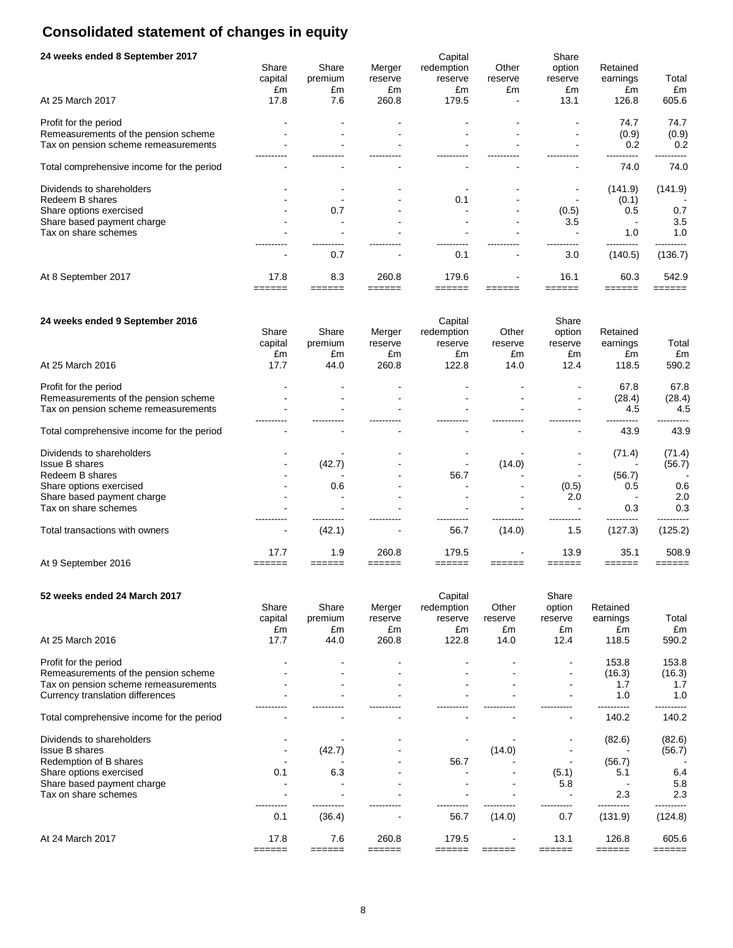# **Consolidated statement of changes in equity**

| 24 weeks ended 8 September 2017           |         |         |         | Capital    |         | Share   |          |         |
|-------------------------------------------|---------|---------|---------|------------|---------|---------|----------|---------|
|                                           | Share   | Share   | Merger  | redemption | Other   | option  | Retained |         |
|                                           | capital | premium | reserve | reserve    | reserve | reserve | earnings | Total   |
|                                           | £m      | £m      | £m      | £m         | £m      | £m      | £m       | £m      |
| At 25 March 2017                          | 17.8    | 7.6     | 260.8   | 179.5      |         | 13.1    | 126.8    | 605.6   |
| Profit for the period                     |         |         |         |            |         |         | 74.7     | 74.7    |
| Remeasurements of the pension scheme      |         |         |         |            |         |         | (0.9)    | (0.9)   |
| Tax on pension scheme remeasurements      |         |         |         |            |         |         | 0.2      | 0.2     |
|                                           |         |         |         |            |         |         |          |         |
| Total comprehensive income for the period |         |         |         |            |         |         | 74.0     | 74.0    |
| Dividends to shareholders                 |         |         |         |            |         |         | (141.9)  | (141.9) |
| Redeem B shares                           |         |         |         | 0.1        |         |         | (0.1)    |         |
| Share options exercised                   |         | 0.7     |         |            |         | (0.5)   | 0.5      | 0.7     |
| Share based payment charge                |         |         |         |            |         | 3.5     |          | 3.5     |
| Tax on share schemes                      |         |         |         |            |         |         | 1.0      | 1.0     |
|                                           |         | 0.7     |         | 0.1        |         | 3.0     | (140.5)  | (136.7) |
| At 8 September 2017                       | 17.8    | 8.3     | 260.8   | 179.6      |         | 16.1    | 60.3     | 542.9   |
|                                           |         |         |         |            |         |         |          |         |

| 24 weeks ended 9 September 2016           |                        |                        |                         | Capital                     |                        | Share                   |                            |             |
|-------------------------------------------|------------------------|------------------------|-------------------------|-----------------------------|------------------------|-------------------------|----------------------------|-------------|
|                                           | Share<br>capital<br>£m | Share<br>premium<br>£m | Merger<br>reserve<br>£m | redemption<br>reserve<br>£m | Other<br>reserve<br>£m | option<br>reserve<br>£m | Retained<br>earnings<br>£m | Total<br>£m |
| At 25 March 2016                          | 17.7                   | 44.0                   | 260.8                   | 122.8                       | 14.0                   | 12.4                    | 118.5                      | 590.2       |
| Profit for the period                     |                        |                        |                         |                             |                        |                         | 67.8                       | 67.8        |
| Remeasurements of the pension scheme      |                        |                        |                         |                             |                        |                         | (28.4)                     | (28.4)      |
| Tax on pension scheme remeasurements      |                        |                        |                         |                             |                        |                         | 4.5                        | 4.5         |
|                                           |                        |                        |                         |                             |                        |                         |                            |             |
| Total comprehensive income for the period |                        |                        |                         |                             |                        |                         | 43.9                       | 43.9        |
| Dividends to shareholders                 |                        |                        |                         |                             |                        |                         | (71.4)                     | (71.4)      |
| <b>Issue B shares</b>                     |                        | (42.7)                 |                         |                             | (14.0)                 |                         |                            | (56.7)      |
| Redeem B shares                           |                        |                        |                         | 56.7                        |                        |                         | (56.7)                     |             |
| Share options exercised                   |                        | 0.6                    |                         |                             |                        | (0.5)                   | 0.5                        | 0.6         |
| Share based payment charge                |                        |                        |                         |                             |                        | 2.0                     |                            | 2.0         |
| Tax on share schemes                      |                        |                        |                         |                             |                        |                         | 0.3                        | 0.3         |
| Total transactions with owners            | $\,$                   | (42.1)                 |                         | 56.7                        | (14.0)                 | 1.5                     | (127.3)                    | (125.2)     |
|                                           | 17.7                   | 1.9                    | 260.8                   | 179.5                       |                        | 13.9                    | 35.1                       | 508.9       |
| At 9 September 2016                       |                        |                        |                         |                             |                        |                         |                            |             |

| 52 weeks ended 24 March 2017              |         |         |         | Capital    |         | Share   |          |         |
|-------------------------------------------|---------|---------|---------|------------|---------|---------|----------|---------|
|                                           | Share   | Share   | Merger  | redemption | Other   | option  | Retained |         |
|                                           | capital | premium | reserve | reserve    | reserve | reserve | earnings | Total   |
|                                           | £m      | £m      | £m      | £m         | £m      | £m      | £m       | £m      |
| At 25 March 2016                          | 17.7    | 44.0    | 260.8   | 122.8      | 14.0    | 12.4    | 118.5    | 590.2   |
| Profit for the period                     |         |         |         |            |         |         | 153.8    | 153.8   |
| Remeasurements of the pension scheme      |         |         |         |            |         |         | (16.3)   | (16.3)  |
| Tax on pension scheme remeasurements      |         |         |         |            |         |         | 1.7      | 1.7     |
| Currency translation differences          |         |         |         |            |         |         | 1.0      | 1.0     |
| Total comprehensive income for the period |         |         |         |            |         |         | 140.2    | 140.2   |
| Dividends to shareholders                 |         |         |         |            |         |         | (82.6)   | (82.6)  |
| <b>Issue B shares</b>                     |         | (42.7)  |         |            | (14.0)  |         |          | (56.7)  |
| Redemption of B shares                    |         |         |         | 56.7       |         |         | (56.7)   |         |
| Share options exercised                   | 0.1     | 6.3     |         |            |         | (5.1)   | 5.1      | 6.4     |
| Share based payment charge                |         |         |         |            |         | 5.8     |          | 5.8     |
| Tax on share schemes                      |         |         |         |            |         |         | 2.3      | 2.3     |
|                                           | 0.1     | (36.4)  |         | 56.7       | (14.0)  | 0.7     | (131.9)  | (124.8) |
| At 24 March 2017                          | 17.8    | 7.6     | 260.8   | 179.5      |         | 13.1    | 126.8    | 605.6   |
|                                           |         |         |         |            |         |         |          |         |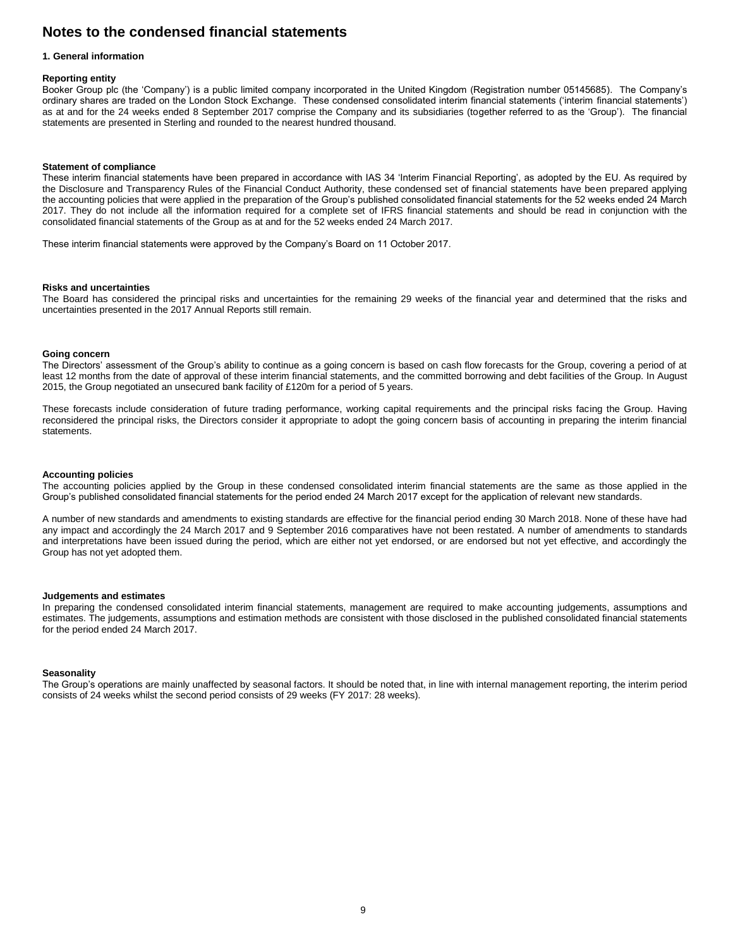## **Notes to the condensed financial statements**

#### **1. General information**

#### **Reporting entity**

Booker Group plc (the 'Company') is a public limited company incorporated in the United Kingdom (Registration number 05145685). The Company's ordinary shares are traded on the London Stock Exchange. These condensed consolidated interim financial statements ('interim financial statements') as at and for the 24 weeks ended 8 September 2017 comprise the Company and its subsidiaries (together referred to as the 'Group'). The financial statements are presented in Sterling and rounded to the nearest hundred thousand.

#### **Statement of compliance**

These interim financial statements have been prepared in accordance with IAS 34 'Interim Financial Reporting', as adopted by the EU. As required by the Disclosure and Transparency Rules of the Financial Conduct Authority, these condensed set of financial statements have been prepared applying the accounting policies that were applied in the preparation of the Group's published consolidated financial statements for the 52 weeks ended 24 March 2017. They do not include all the information required for a complete set of IFRS financial statements and should be read in conjunction with the consolidated financial statements of the Group as at and for the 52 weeks ended 24 March 2017.

These interim financial statements were approved by the Company's Board on 11 October 2017.

#### **Risks and uncertainties**

The Board has considered the principal risks and uncertainties for the remaining 29 weeks of the financial year and determined that the risks and uncertainties presented in the 2017 Annual Reports still remain.

#### **Going concern**

The Directors' assessment of the Group's ability to continue as a going concern is based on cash flow forecasts for the Group, covering a period of at least 12 months from the date of approval of these interim financial statements, and the committed borrowing and debt facilities of the Group. In August 2015, the Group negotiated an unsecured bank facility of £120m for a period of 5 years.

These forecasts include consideration of future trading performance, working capital requirements and the principal risks facing the Group. Having reconsidered the principal risks, the Directors consider it appropriate to adopt the going concern basis of accounting in preparing the interim financial statements.

#### **Accounting policies**

The accounting policies applied by the Group in these condensed consolidated interim financial statements are the same as those applied in the Group's published consolidated financial statements for the period ended 24 March 2017 except for the application of relevant new standards.

A number of new standards and amendments to existing standards are effective for the financial period ending 30 March 2018. None of these have had any impact and accordingly the 24 March 2017 and 9 September 2016 comparatives have not been restated. A number of amendments to standards and interpretations have been issued during the period, which are either not yet endorsed, or are endorsed but not yet effective, and accordingly the Group has not yet adopted them.

#### **Judgements and estimates**

In preparing the condensed consolidated interim financial statements, management are required to make accounting judgements, assumptions and estimates. The judgements, assumptions and estimation methods are consistent with those disclosed in the published consolidated financial statements for the period ended 24 March 2017.

#### **Seasonality**

The Group's operations are mainly unaffected by seasonal factors. It should be noted that, in line with internal management reporting, the interim period consists of 24 weeks whilst the second period consists of 29 weeks (FY 2017: 28 weeks).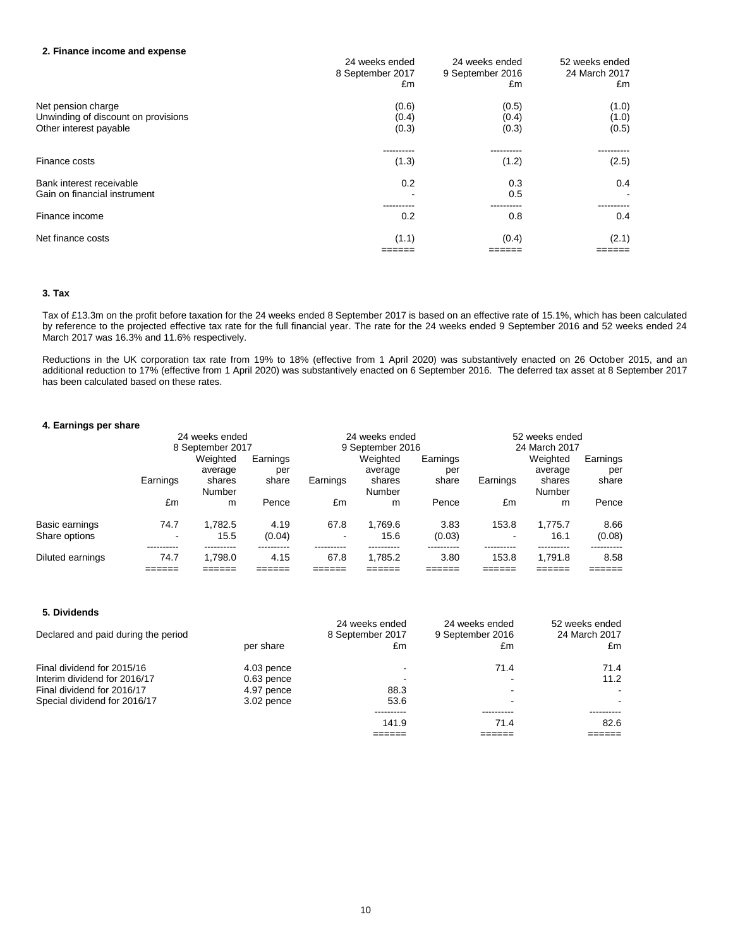#### **2. Finance income and expense**

| 2. Finance income and expense                                                       | 24 weeks ended<br>8 September 2017<br>£m | 24 weeks ended<br>9 September 2016<br>£m | 52 weeks ended<br>24 March 2017<br>£m |
|-------------------------------------------------------------------------------------|------------------------------------------|------------------------------------------|---------------------------------------|
| Net pension charge<br>Unwinding of discount on provisions<br>Other interest payable | (0.6)<br>(0.4)<br>(0.3)                  | (0.5)<br>(0.4)<br>(0.3)                  | (1.0)<br>(1.0)<br>(0.5)               |
| Finance costs                                                                       | (1.3)                                    | (1.2)                                    | (2.5)                                 |
| Bank interest receivable<br>Gain on financial instrument                            | 0.2                                      | 0.3<br>0.5                               | 0.4                                   |
| Finance income                                                                      | 0.2                                      | 0.8                                      | 0.4                                   |
| Net finance costs                                                                   | (1.1)                                    | (0.4)                                    | (2.1)                                 |
|                                                                                     |                                          |                                          |                                       |

#### **3. Tax**

Tax of £13.3m on the profit before taxation for the 24 weeks ended 8 September 2017 is based on an effective rate of 15.1%, which has been calculated by reference to the projected effective tax rate for the full financial year. The rate for the 24 weeks ended 9 September 2016 and 52 weeks ended 24 March 2017 was 16.3% and 11.6% respectively.

Reductions in the UK corporation tax rate from 19% to 18% (effective from 1 April 2020) was substantively enacted on 26 October 2015, and an additional reduction to 17% (effective from 1 April 2020) was substantively enacted on 6 September 2016. The deferred tax asset at 8 September 2017 has been calculated based on these rates.

#### **4. Earnings per share**

|                                 |          | 24 weeks ended   |                |          | 24 weeks ended   |                |          | 52 weeks ended   |                |  |
|---------------------------------|----------|------------------|----------------|----------|------------------|----------------|----------|------------------|----------------|--|
|                                 |          | 8 September 2017 |                |          | 9 September 2016 |                |          | 24 March 2017    |                |  |
|                                 |          | Weighted         | Earnings       |          | Weighted         | Earnings       |          | Weighted         | Earnings       |  |
|                                 |          | average          | per            |          | average          | per            |          | average          | per            |  |
|                                 | Earnings | shares<br>Number | share          | Earnings | shares<br>Number | share          | Earnings | shares<br>Number | share          |  |
|                                 | £m       | m                | Pence          | £m       | m                | Pence          | £m       | m                | Pence          |  |
| Basic earnings<br>Share options | 74.7     | 1.782.5<br>15.5  | 4.19<br>(0.04) | 67.8     | 1.769.6<br>15.6  | 3.83<br>(0.03) | 153.8    | 1.775.7<br>16.1  | 8.66<br>(0.08) |  |
| Diluted earnings                | 74.7     | 1.798.0          | 4.15           | 67.8     | 1.785.2          | 3.80           | 153.8    | 1.791.8          | 8.58           |  |
|                                 |          |                  |                |          |                  |                |          |                  |                |  |

| 5. Dividends                        |              |                                          |                                          |                                       |
|-------------------------------------|--------------|------------------------------------------|------------------------------------------|---------------------------------------|
| Declared and paid during the period | per share    | 24 weeks ended<br>8 September 2017<br>£m | 24 weeks ended<br>9 September 2016<br>£m | 52 weeks ended<br>24 March 2017<br>£m |
|                                     |              |                                          |                                          |                                       |
| Final dividend for 2015/16          | 4.03 pence   |                                          | 71.4                                     | 71.4                                  |
| Interim dividend for 2016/17        | $0.63$ pence |                                          |                                          | 11.2                                  |
| Final dividend for 2016/17          | 4.97 pence   | 88.3                                     |                                          | $\blacksquare$                        |
| Special dividend for 2016/17        | 3.02 pence   | 53.6                                     |                                          | $\sim$                                |
|                                     |              |                                          |                                          |                                       |
|                                     |              | 141.9                                    | 71.4                                     | 82.6                                  |
|                                     |              |                                          |                                          |                                       |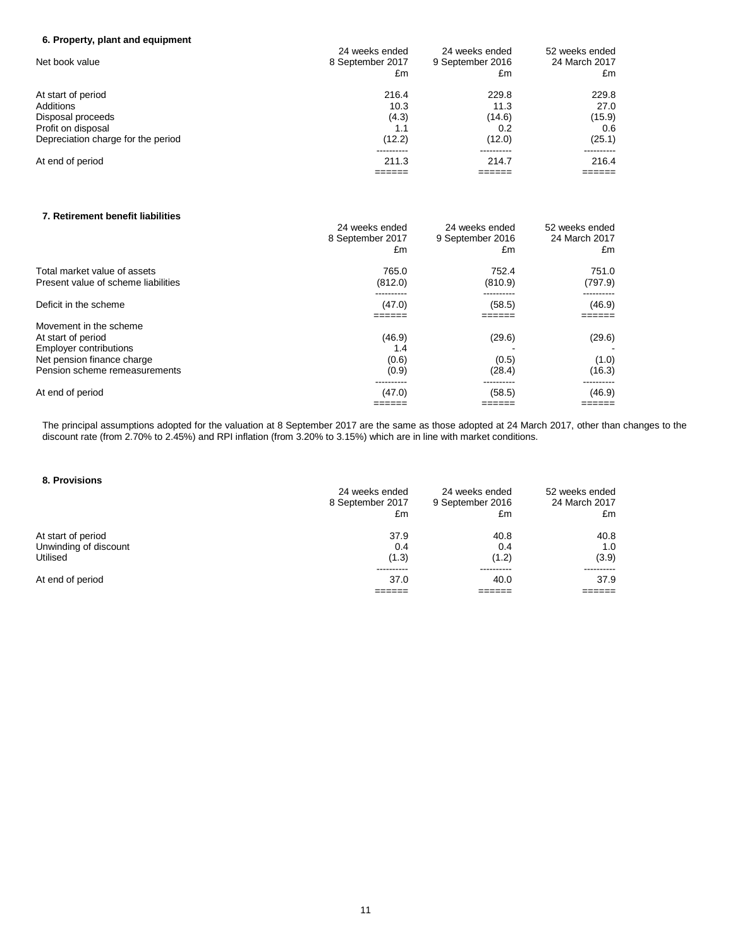## **6. Property, plant and equipment**

|                                    | 24 weeks ended   | 24 weeks ended   | 52 weeks ended |
|------------------------------------|------------------|------------------|----------------|
| Net book value                     | 8 September 2017 | 9 September 2016 | 24 March 2017  |
|                                    | £m               | £m               | £m             |
| At start of period                 | 216.4            | 229.8            | 229.8          |
| Additions                          | 10.3             | 11.3             | 27.0           |
| Disposal proceeds                  | (4.3)            | (14.6)           | (15.9)         |
| Profit on disposal                 |                  | 0.2              | 0.6            |
| Depreciation charge for the period | (12.2)           | (12.0)           | (25.1)         |
|                                    |                  |                  |                |
| At end of period                   | 211.3            | 214.7            | 216.4          |
|                                    |                  |                  |                |

### **7. Retirement benefit liabilities**

|                                     | 24 weeks ended<br>8 September 2017<br>£m | 24 weeks ended<br>9 September 2016<br>£m | 52 weeks ended<br>24 March 2017<br>£m |
|-------------------------------------|------------------------------------------|------------------------------------------|---------------------------------------|
| Total market value of assets        | 765.0                                    | 752.4                                    | 751.0                                 |
| Present value of scheme liabilities | (812.0)                                  | (810.9)                                  | (797.9)                               |
| Deficit in the scheme               | (47.0)                                   | (58.5)                                   | (46.9)                                |
| Movement in the scheme              |                                          |                                          |                                       |
| At start of period                  | (46.9)                                   | (29.6)                                   | (29.6)                                |
| <b>Employer contributions</b>       | 1.4                                      |                                          |                                       |
| Net pension finance charge          | (0.6)                                    | (0.5)                                    | (1.0)                                 |
| Pension scheme remeasurements       | (0.9)                                    | (28.4)                                   | (16.3)                                |
|                                     | ----------                               |                                          |                                       |
| At end of period                    | (47.0)                                   | (58.5)                                   | (46.9)                                |
|                                     | =====                                    | =====                                    | =====                                 |

The principal assumptions adopted for the valuation at 8 September 2017 are the same as those adopted at 24 March 2017, other than changes to the discount rate (from 2.70% to 2.45%) and RPI inflation (from 3.20% to 3.15%) which are in line with market conditions.

### **8. Provisions**

| 24 weeks ended<br>8 September 2017<br>£m | 24 weeks ended<br>9 September 2016<br>£m | 52 weeks ended<br>24 March 2017<br>£m |
|------------------------------------------|------------------------------------------|---------------------------------------|
| 37.9                                     | 40.8                                     | 40.8                                  |
| 0.4                                      | 0.4                                      | 1.0                                   |
| (1.3)                                    | (1.2)                                    | (3.9)                                 |
|                                          |                                          |                                       |
| 37.0                                     | 40.0                                     | 37.9                                  |
|                                          |                                          |                                       |
|                                          |                                          |                                       |